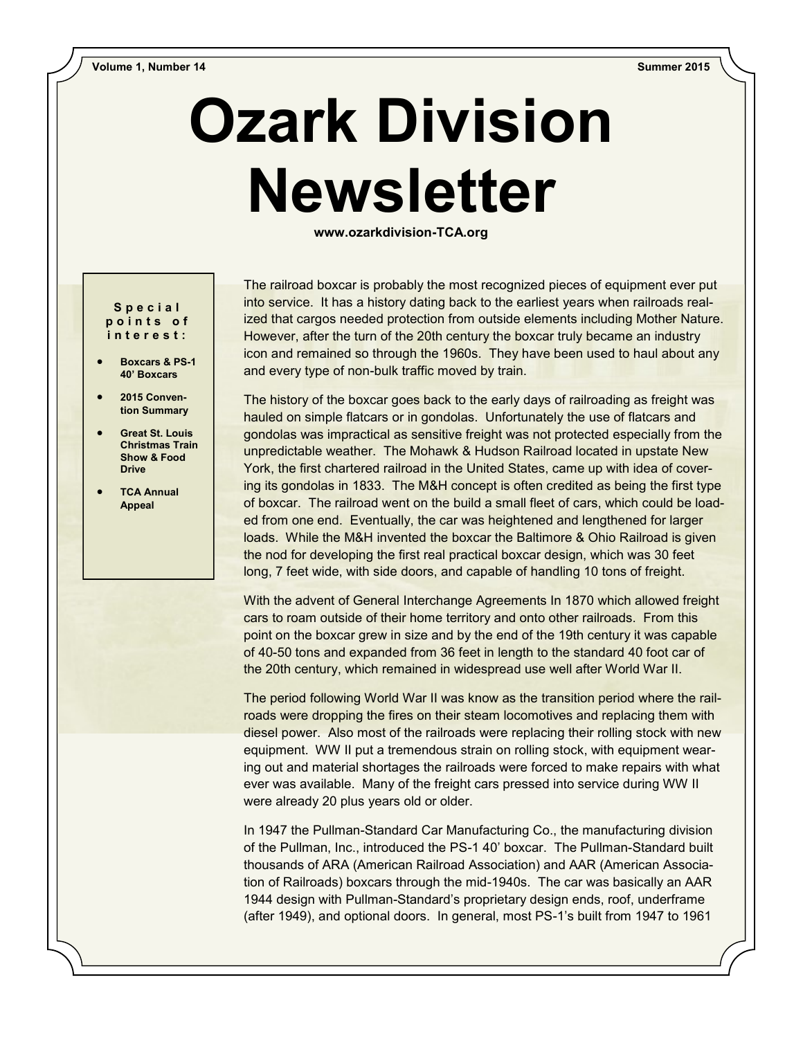## **Ozark Division Newsletter**

**www.ozarkdivision-TCA.org**

## **S p e c i a l p o i n t s o f i n t e r e s t :**

- **Boxcars & PS-1 40' Boxcars**
- **2015 Convention Summary**
- **Great St. Louis Christmas Train Show & Food Drive**
- **TCA Annual Appeal**

The railroad boxcar is probably the most recognized pieces of equipment ever put into service. It has a history dating back to the earliest years when railroads realized that cargos needed protection from outside elements including Mother Nature. However, after the turn of the 20th century the boxcar truly became an industry icon and remained so through the 1960s. They have been used to haul about any and every type of non-bulk traffic moved by train.

The history of the boxcar goes back to the early days of railroading as freight was hauled on simple flatcars or in gondolas. Unfortunately the use of flatcars and gondolas was impractical as sensitive freight was not protected especially from the unpredictable weather. The Mohawk & Hudson Railroad located in upstate New York, the first chartered railroad in the United States, came up with idea of covering its gondolas in 1833. The M&H concept is often credited as being the first type of boxcar. The railroad went on the build a small fleet of cars, which could be loaded from one end. Eventually, the car was heightened and lengthened for larger loads. While the M&H invented the boxcar the Baltimore & Ohio Railroad is given the nod for developing the first real practical boxcar design, which was 30 feet long, 7 feet wide, with side doors, and capable of handling 10 tons of freight.

With the advent of General Interchange Agreements In 1870 which allowed freight cars to roam outside of their home territory and onto other railroads. From this point on the boxcar grew in size and by the end of the 19th century it was capable of 40-50 tons and expanded from 36 feet in length to the standard 40 foot car of the 20th century, which remained in widespread use well after World War II.

The period following World War II was know as the transition period where the railroads were dropping the fires on their steam locomotives and replacing them with diesel power. Also most of the railroads were replacing their rolling stock with new equipment. WW II put a tremendous strain on rolling stock, with equipment wearing out and material shortages the railroads were forced to make repairs with what ever was available. Many of the freight cars pressed into service during WW II were already 20 plus years old or older.

In 1947 the Pullman-Standard Car Manufacturing Co., the manufacturing division of the Pullman, Inc., introduced the PS-1 40' boxcar. The Pullman-Standard built thousands of ARA (American Railroad Association) and AAR (American Association of Railroads) boxcars through the mid-1940s. The car was basically an AAR 1944 design with Pullman-Standard's proprietary design ends, roof, underframe (after 1949), and optional doors. In general, most PS-1's built from 1947 to 1961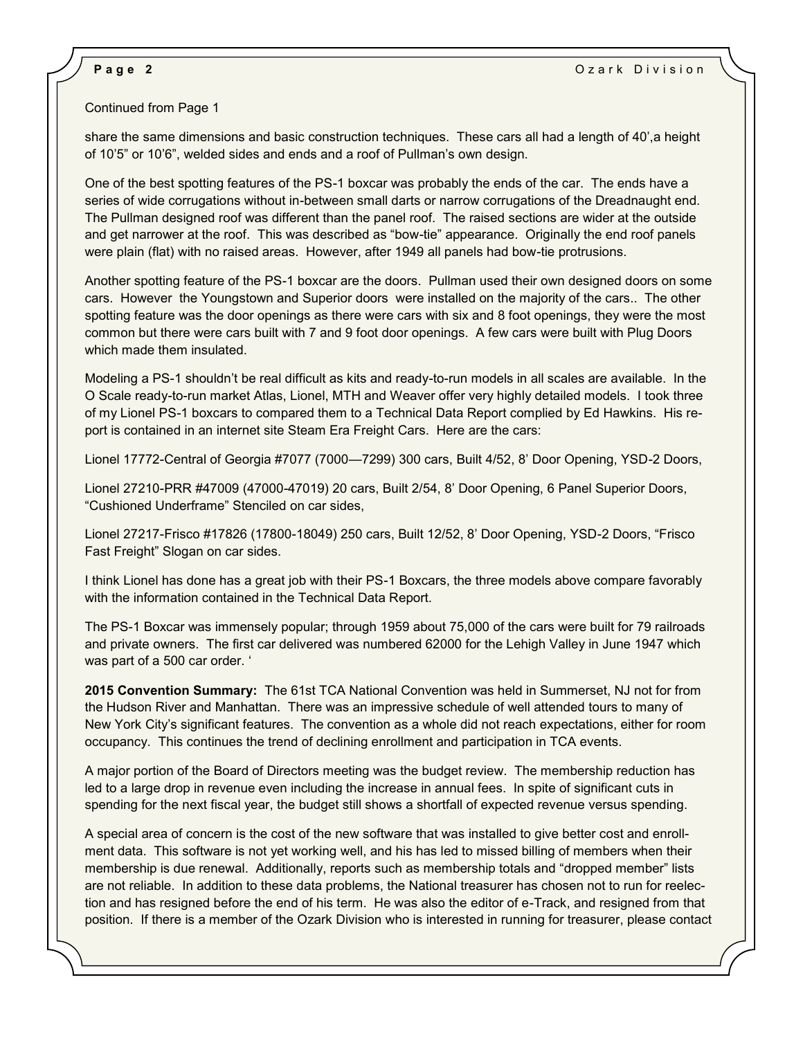## Continued from Page 1

share the same dimensions and basic construction techniques. These cars all had a length of 40', a height of 10'5" or 10'6", welded sides and ends and a roof of Pullman's own design.

One of the best spotting features of the PS-1 boxcar was probably the ends of the car. The ends have a series of wide corrugations without in-between small darts or narrow corrugations of the Dreadnaught end. The Pullman designed roof was different than the panel roof. The raised sections are wider at the outside and get narrower at the roof. This was described as "bow-tie" appearance. Originally the end roof panels were plain (flat) with no raised areas. However, after 1949 all panels had bow-tie protrusions.

Another spotting feature of the PS-1 boxcar are the doors. Pullman used their own designed doors on some cars. However the Youngstown and Superior doors were installed on the majority of the cars.. The other spotting feature was the door openings as there were cars with six and 8 foot openings, they were the most common but there were cars built with 7 and 9 foot door openings. A few cars were built with Plug Doors which made them insulated.

Modeling a PS-1 shouldn't be real difficult as kits and ready-to-run models in all scales are available. In the O Scale ready-to-run market Atlas, Lionel, MTH and Weaver offer very highly detailed models. I took three of my Lionel PS-1 boxcars to compared them to a Technical Data Report complied by Ed Hawkins. His report is contained in an internet site Steam Era Freight Cars. Here are the cars:

Lionel 17772-Central of Georgia #7077 (7000—7299) 300 cars, Built 4/52, 8' Door Opening, YSD-2 Doors,

Lionel 27210-PRR #47009 (47000-47019) 20 cars, Built 2/54, 8' Door Opening, 6 Panel Superior Doors, "Cushioned Underframe" Stenciled on car sides,

Lionel 27217-Frisco #17826 (17800-18049) 250 cars, Built 12/52, 8' Door Opening, YSD-2 Doors, "Frisco Fast Freight" Slogan on car sides.

I think Lionel has done has a great job with their PS-1 Boxcars, the three models above compare favorably with the information contained in the Technical Data Report.

The PS-1 Boxcar was immensely popular; through 1959 about 75,000 of the cars were built for 79 railroads and private owners. The first car delivered was numbered 62000 for the Lehigh Valley in June 1947 which was part of a 500 car order. '

**2015 Convention Summary:** The 61st TCA National Convention was held in Summerset, NJ not for from the Hudson River and Manhattan. There was an impressive schedule of well attended tours to many of New York City's significant features. The convention as a whole did not reach expectations, either for room occupancy. This continues the trend of declining enrollment and participation in TCA events.

A major portion of the Board of Directors meeting was the budget review. The membership reduction has led to a large drop in revenue even including the increase in annual fees. In spite of significant cuts in spending for the next fiscal year, the budget still shows a shortfall of expected revenue versus spending.

A special area of concern is the cost of the new software that was installed to give better cost and enrollment data. This software is not yet working well, and his has led to missed billing of members when their membership is due renewal. Additionally, reports such as membership totals and "dropped member" lists are not reliable. In addition to these data problems, the National treasurer has chosen not to run for reelection and has resigned before the end of his term. He was also the editor of e-Track, and resigned from that position. If there is a member of the Ozark Division who is interested in running for treasurer, please contact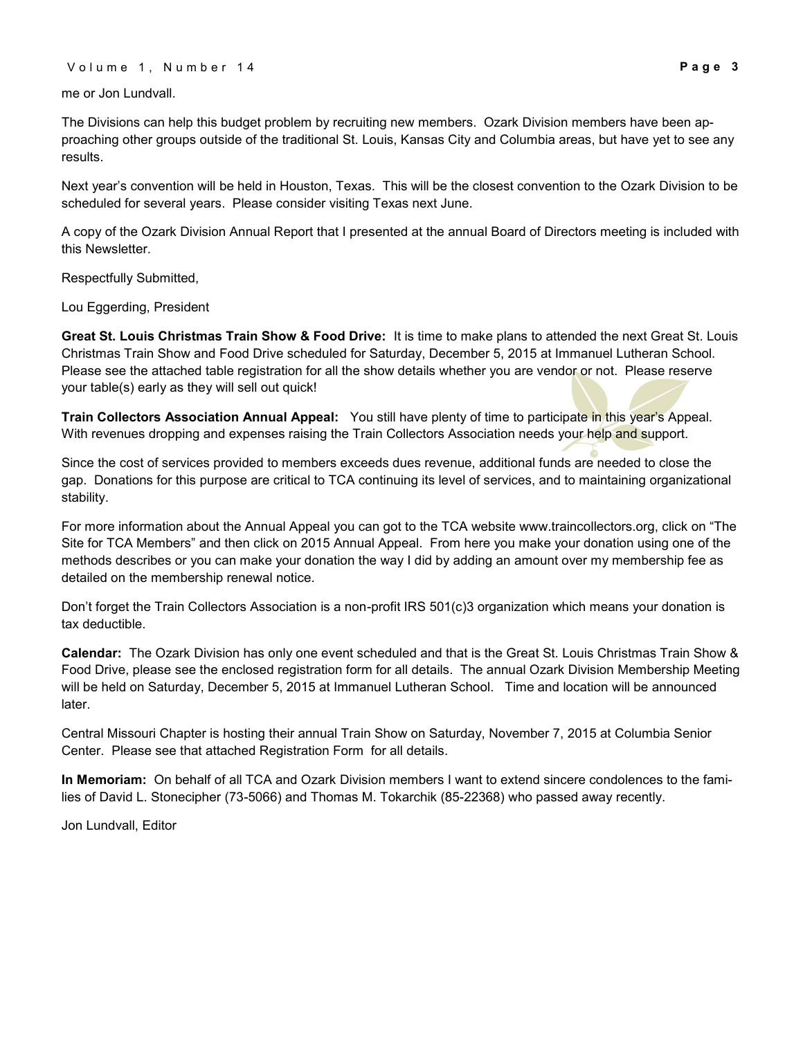me or Jon Lundvall.

The Divisions can help this budget problem by recruiting new members. Ozark Division members have been approaching other groups outside of the traditional St. Louis, Kansas City and Columbia areas, but have yet to see any results.

Next year's convention will be held in Houston, Texas. This will be the closest convention to the Ozark Division to be scheduled for several years. Please consider visiting Texas next June.

A copy of the Ozark Division Annual Report that I presented at the annual Board of Directors meeting is included with this Newsletter.

Respectfully Submitted,

Lou Eggerding, President

**Great St. Louis Christmas Train Show & Food Drive:** It is time to make plans to attended the next Great St. Louis Christmas Train Show and Food Drive scheduled for Saturday, December 5, 2015 at Immanuel Lutheran School. Please see the attached table registration for all the show details whether you are vendor or not. Please reserve your table(s) early as they will sell out quick!

**Train Collectors Association Annual Appeal:** You still have plenty of time to participate in this year's Appeal. With revenues dropping and expenses raising the Train Collectors Association needs your help and support.

Since the cost of services provided to members exceeds dues revenue, additional funds are needed to close the gap. Donations for this purpose are critical to TCA continuing its level of services, and to maintaining organizational stability.

For more information about the Annual Appeal you can got to the TCA website www.traincollectors.org, click on "The Site for TCA Members" and then click on 2015 Annual Appeal. From here you make your donation using one of the methods describes or you can make your donation the way I did by adding an amount over my membership fee as detailed on the membership renewal notice.

Don't forget the Train Collectors Association is a non-profit IRS 501(c)3 organization which means your donation is tax deductible.

**Calendar:** The Ozark Division has only one event scheduled and that is the Great St. Louis Christmas Train Show & Food Drive, please see the enclosed registration form for all details. The annual Ozark Division Membership Meeting will be held on Saturday, December 5, 2015 at Immanuel Lutheran School. Time and location will be announced later.

Central Missouri Chapter is hosting their annual Train Show on Saturday, November 7, 2015 at Columbia Senior Center. Please see that attached Registration Form for all details.

**In Memoriam:** On behalf of all TCA and Ozark Division members I want to extend sincere condolences to the families of David L. Stonecipher (73-5066) and Thomas M. Tokarchik (85-22368) who passed away recently.

Jon Lundvall, Editor